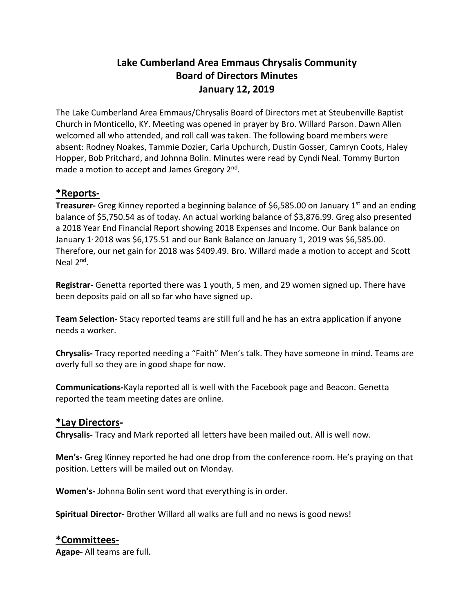# **Lake Cumberland Area Emmaus Chrysalis Community Board of Directors Minutes January 12, 2019**

The Lake Cumberland Area Emmaus/Chrysalis Board of Directors met at Steubenville Baptist Church in Monticello, KY. Meeting was opened in prayer by Bro. Willard Parson. Dawn Allen welcomed all who attended, and roll call was taken. The following board members were absent: Rodney Noakes, Tammie Dozier, Carla Upchurch, Dustin Gosser, Camryn Coots, Haley Hopper, Bob Pritchard, and Johnna Bolin. Minutes were read by Cyndi Neal. Tommy Burton made a motion to accept and James Gregory 2<sup>nd</sup>.

# **\*Reports-**

**Treasurer-** Greg Kinney reported a beginning balance of \$6,585.00 on January 1<sup>st</sup> and an ending balance of \$5,750.54 as of today. An actual working balance of \$3,876.99. Greg also presented a 2018 Year End Financial Report showing 2018 Expenses and Income. Our Bank balance on January  $1/2018$  was \$6,175.51 and our Bank Balance on January 1, 2019 was \$6,585.00. Therefore, our net gain for 2018 was \$409.49. Bro. Willard made a motion to accept and Scott Neal 2<sup>nd</sup>.

**Registrar-** Genetta reported there was 1 youth, 5 men, and 29 women signed up. There have been deposits paid on all so far who have signed up.

**Team Selection-** Stacy reported teams are still full and he has an extra application if anyone needs a worker.

**Chrysalis-** Tracy reported needing a "Faith" Men's talk. They have someone in mind. Teams are overly full so they are in good shape for now.

**Communications-**Kayla reported all is well with the Facebook page and Beacon. Genetta reported the team meeting dates are online.

### **\*Lay Directors-**

**Chrysalis-** Tracy and Mark reported all letters have been mailed out. All is well now.

**Men's-** Greg Kinney reported he had one drop from the conference room. He's praying on that position. Letters will be mailed out on Monday.

**Women's-** Johnna Bolin sent word that everything is in order.

**Spiritual Director-** Brother Willard all walks are full and no news is good news!

### **\*Committees-**

**Agape-** All teams are full.